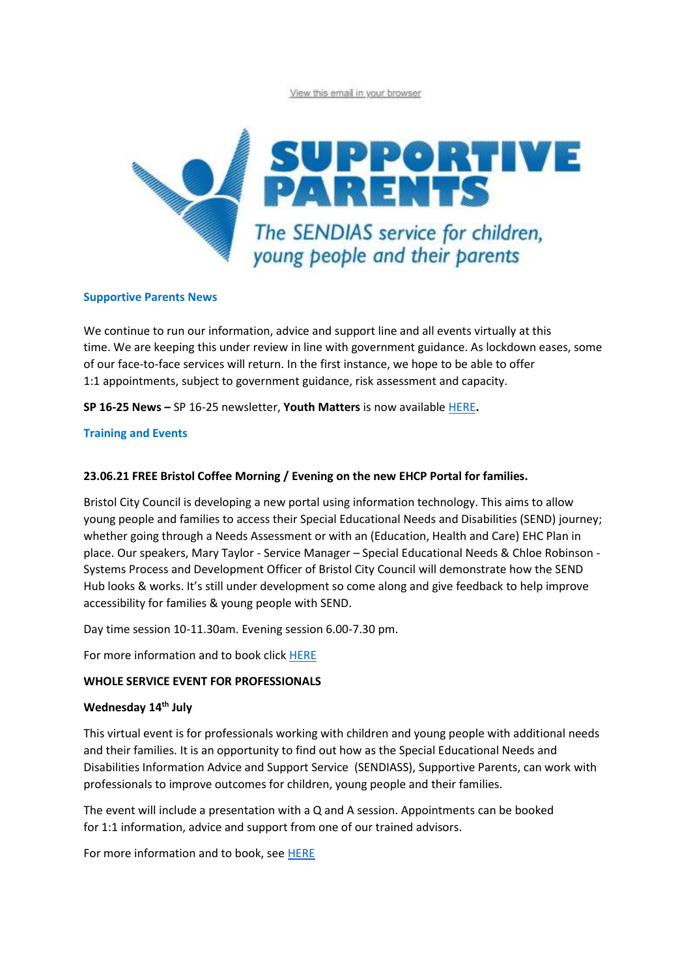View this email in your browser



### **Supportive Parents News**

We continue to run our information, advice and support line and all events virtually at this time. We are keeping this under review in line with government guidance. As lockdown eases, some of our face-to-face services will return. In the first instance, we hope to be able to offer 1:1 appointments, subject to government guidance, risk assessment and capacity.

**SP 16-25 News –** SP 16-25 newsletter, **Youth Matters** is now available [HERE](https://www.supportiveparents.org.uk/youth-matters-sp-16-25-news-april-2021/)**.**

### **Training and Events**

### **23.06.21 FREE Bristol Coffee Morning / Evening on the new EHCP Portal for families.**

Bristol City Council is developing a new portal using information technology. This aims to allow young people and families to access their Special Educational Needs and Disabilities (SEND) journey; whether going through a Needs Assessment or with an (Education, Health and Care) EHC Plan in place. Our speakers, Mary Taylor - Service Manager – Special Educational Needs & Chloe Robinson - Systems Process and Development Officer of Bristol City Council will demonstrate how the SEND Hub looks & works. It's still under development so come along and give feedback to help improve accessibility for families & young people with SEND.

Day time session 10-11.30am. Evening session 6.00-7.30 pm.

For more information and to book click [HERE](https://www.eventbrite.co.uk/e/bristol-coffee-morning-evening-on-the-new-ehcp-portal-for-families-tickets-149148163171?aff=ebdssbonlinesearch)

#### **WHOLE SERVICE EVENT FOR PROFESSIONALS**

### **Wednesday 14th July**

This virtual event is for professionals working with children and young people with additional needs and their families. It is an opportunity to find out how as the Special Educational Needs and Disabilities Information Advice and Support Service  (SENDIASS), Supportive Parents, can work with professionals to improve outcomes for children, young people and their families.  

The event will include a presentation with a Q and A session. Appointments can be booked for 1:1 information, advice and support from one of our trained advisors.

For more information and to book, see [HERE](https://www.eventbrite.co.uk/e/information-day-for-professionals-tickets-156488383969)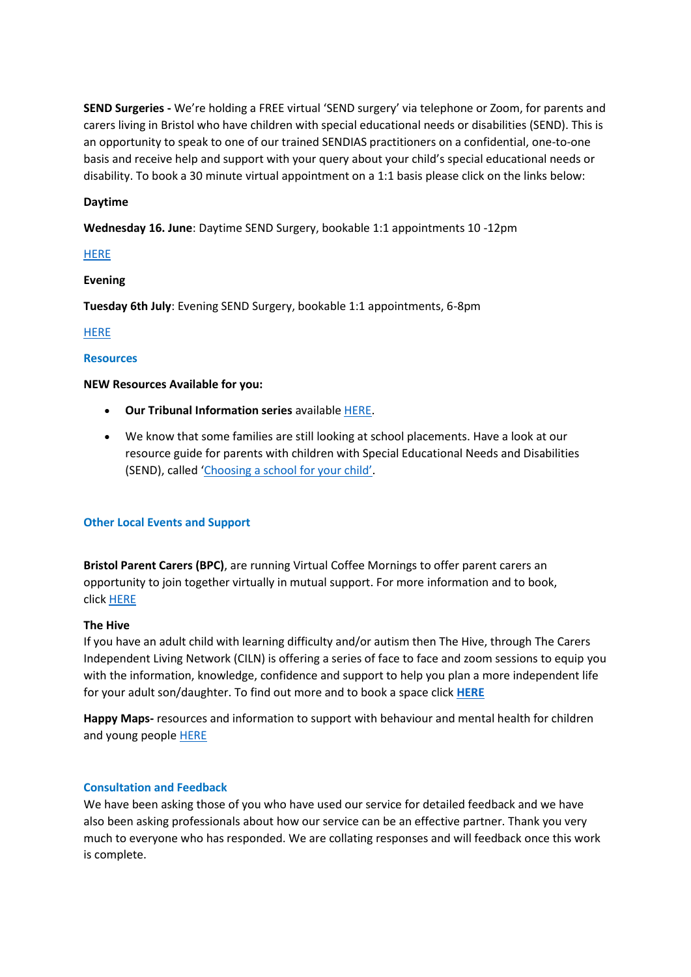**SEND Surgeries -** We're holding a FREE virtual 'SEND surgery' via telephone or Zoom, for parents and carers living in Bristol who have children with special educational needs or disabilities (SEND). This is an opportunity to speak to one of our trained SENDIAS practitioners on a confidential, one-to-one basis and receive help and support with your query about your child's special educational needs or disability. To book a 30 minute virtual appointment on a 1:1 basis please click on the links below:  

## **Daytime**

**Wednesday 16. June**: Daytime SEND Surgery, bookable 1:1 appointments 10 -12pm 

### **[HERE](https://www.eventbrite.co.uk/e/bristol-daytime-send-surgery-virtual-or-phone-wednesday-16th-june-2021-tickets-156473738163)**

### **Evening**

**Tuesday 6th July**: Evening SEND Surgery, bookable 1:1 appointments, 6-8pm 

[HERE](https://www.eventbrite.co.uk/e/bristol-evening-send-surgery-virtual-or-phone-tuesday-6th-july-2021-tickets-156475094219)

### **Resources**

### **NEW Resources Available for you:**

- **Our Tribunal Information series** available [HERE.](https://www.supportiveparents.org.uk/resources/information-series/)
- We know that some families are still looking at school placements. Have a look at our resource guide for parents with children with Special Educational Needs and Disabilities (SEND), called ['Choosing a school for your child'](https://www.supportiveparents.org.uk/wp-content/uploads/2020/11/Choosing-a-school-for-your-child.pdf).

# **Other Local Events and Support**

**Bristol Parent Carers (BPC)**, are running Virtual Coffee Mornings to offer parent carers an opportunity to join together virtually in mutual support. For more information and to book, click [HERE](https://www.eventbrite.co.uk/e/bristol-parent-carers-may-2021-virtual-coffee-morning-tickets-153514172021?aff=ebdssbonlinesearch)

### **The Hive**

If you have an adult child with learning difficulty and/or autism then The Hive, through The Carers Independent Living Network (CILN) is offering a series of face to face and zoom sessions to equip you with the information, knowledge, confidence and support to help you plan a more independent life for your adult son/daughter. To find out more and to book a space click **[HERE](https://drive.google.com/file/d/1XoNUBdIXsAZR1luaYhaLzaVK5tt009C3/view?mc_cid=fc72ae12cc&mc_eid=fa33e57dc8)**

**Happy Maps-** resources and information to support with behaviour and mental health for children and young people [HERE](https://www.happymaps.co.uk/)

### **Consultation and Feedback**

We have been asking those of you who have used our service for detailed feedback and we have also been asking professionals about how our service can be an effective partner. Thank you very much to everyone who has responded. We are collating responses and will feedback once this work is complete.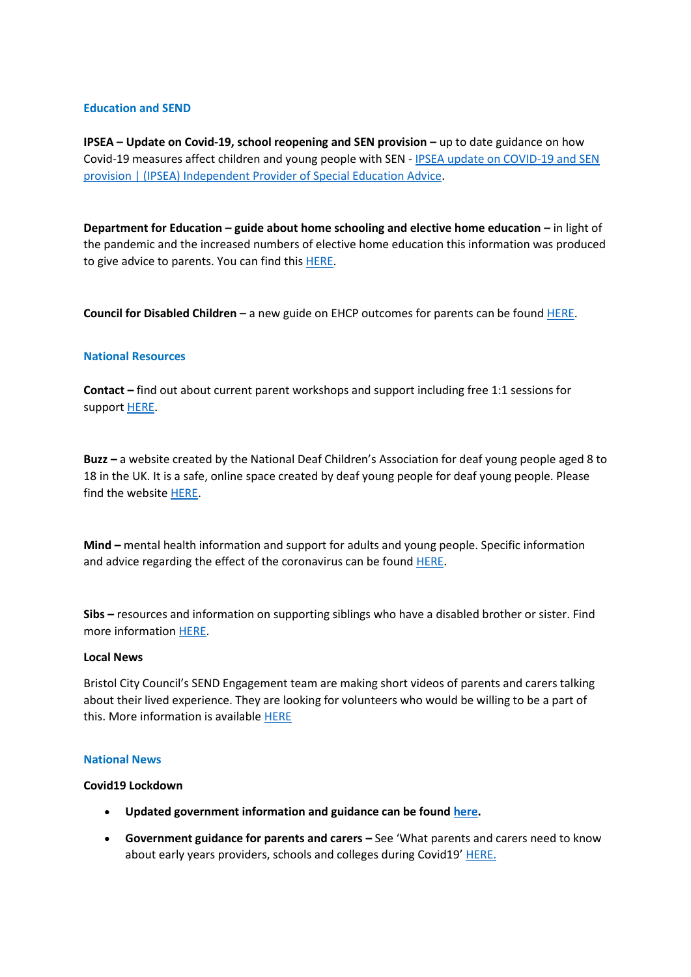### **Education and SEND**

**IPSEA – Update on Covid-19, school reopening and SEN provision –** up to date guidance on how Covid-19 measures affect children and young people with SEN - [IPSEA update on COVID-19 and SEN](https://www.ipsea.org.uk/News/ipsea-update-on-covid-19-school-closures-and-sen-provision)  [provision | \(IPSEA\) Independent Provider of Special Education Advice](https://www.ipsea.org.uk/News/ipsea-update-on-covid-19-school-closures-and-sen-provision). 

**Department for Education – guide about home schooling and elective home education –** in light of the pandemic and the increased numbers of elective home education this information was produced to give advice to parents. You can find this [HERE](https://dfemedia.blog.gov.uk/2020/10/20/all-you-need-to-know-about-home-schooling-and-elective-home-education-ehe/).  

**Council for Disabled Children**– a new guide on EHCP outcomes for parents can be found [HERE](https://councilfordisabledchildren.org.uk/help-resources/resources/education-health-and-care-plans-outcomes-explainers). 

### **National Resources**

**Contact –** find out about current parent workshops and support including free 1:1 sessions for support [HERE](https://contact.org.uk/help-for-families/family-workshops-and-events/).

**Buzz –** a website created by the National Deaf Children's Association for deaf young people aged 8 to 18 in the UK. It is a safe, online space created by deaf young people for deaf young people. Please find the website [HERE](https://buzz.org.uk/).  

**Mind –** mental health information and support for adults and young people. Specific information and advice regarding the effect of the coronavirus can be found **[HERE](https://www.mind.org.uk/information-support/coronavirus/)**.

**Sibs –** resources and information on supporting siblings who have a disabled brother or sister. Find more information [HERE](https://www.sibs.org.uk/about-sibs/).  

#### **Local News**

Bristol City Council's SEND Engagement team are making short videos of parents and carers talking about their lived experience. They are looking for volunteers who would be willing to be a part of this. More information is available **[HERE](https://www.bristol.gov.uk/documents/2193095/4483453/Call_for_volunteers_poster.pdf/c63a81e6-f1af-4ba4-2906-136611714fa1?t=1621613329375)** 

#### **National News**

### **Covid19 Lockdown**

- **Updated government information and guidance can be found [here.](https://www.gov.uk/guidance/national-lockdown-stay-at-home)**
- **Government guidance for parents and carers –** See 'What parents and carers need to know about early years providers, schools and colleges during Covid19' [HERE.](https://www.gov.uk/government/publications/what-parents-and-carers-need-to-know-about-early-years-providers-schools-and-colleges-during-the-coronavirus-covid-19-outbreak/what-parents-need-to-know-about-early-years-providers-schools-and-colleges-during-covid-19)